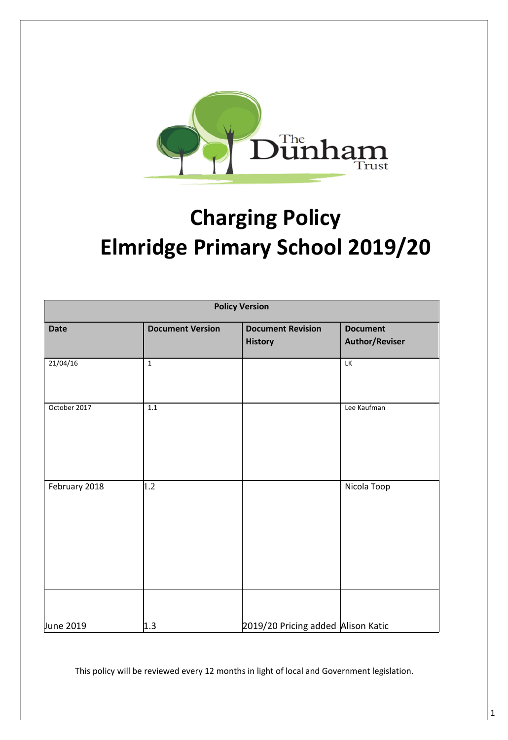

# **Charging Policy Elmridge Primary School 2019/20**

| <b>Policy Version</b> |                         |                                    |                          |
|-----------------------|-------------------------|------------------------------------|--------------------------|
| <b>Date</b>           | <b>Document Version</b> | <b>Document Revision</b>           | <b>Document</b>          |
|                       |                         | <b>History</b>                     | <b>Author/Reviser</b>    |
| 21/04/16              | $\mathbf 1$             |                                    | $\overline{\mathsf{LK}}$ |
| October 2017          | $1.1\,$                 |                                    | Lee Kaufman              |
| February 2018         | 1.2                     |                                    | Nicola Toop              |
| June 2019             | 1.3                     | 2019/20 Pricing added Alison Katic |                          |

This policy will be reviewed every 12 months in light of local and Government legislation.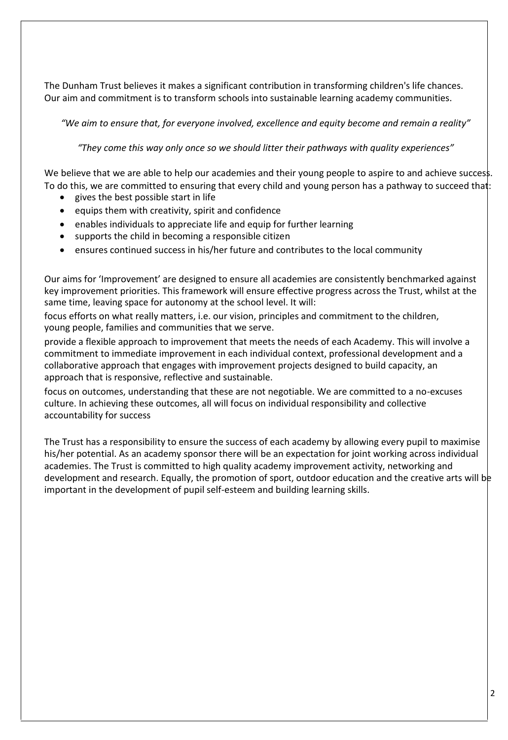The Dunham Trust believes it makes a significant contribution in transforming children's life chances. Our aim and commitment is to transform schools into sustainable learning academy communities.

*"We aim to ensure that, for everyone involved, excellence and equity become and remain a reality"*

*"They come this way only once so we should litter their pathways with quality experiences"*

We believe that we are able to help our academies and their young people to aspire to and achieve success. To do this, we are committed to ensuring that every child and young person has a pathway to succeed that:

- gives the best possible start in life
- $\bullet$  equips them with creativity, spirit and confidence
- enables individuals to appreciate life and equip for further learning
- supports the child in becoming a responsible citizen
- ensures continued success in his/her future and contributes to the local community

Our aims for 'Improvement' are designed to ensure all academies are consistently benchmarked against key improvement priorities. This framework will ensure effective progress across the Trust, whilst at the same time, leaving space for autonomy at the school level. It will:

focus efforts on what really matters, i.e. our vision, principles and commitment to the children, young people, families and communities that we serve.

provide a flexible approach to improvement that meets the needs of each Academy. This will involve a commitment to immediate improvement in each individual context, professional development and a collaborative approach that engages with improvement projects designed to build capacity, an approach that is responsive, reflective and sustainable.

focus on outcomes, understanding that these are not negotiable. We are committed to a no-excuses culture. In achieving these outcomes, all will focus on individual responsibility and collective accountability for success

The Trust has a responsibility to ensure the success of each academy by allowing every pupil to maximise his/her potential. As an academy sponsor there will be an expectation for joint working across individual academies. The Trust is committed to high quality academy improvement activity, networking and development and research. Equally, the promotion of sport, outdoor education and the creative arts will be important in the development of pupil self-esteem and building learning skills.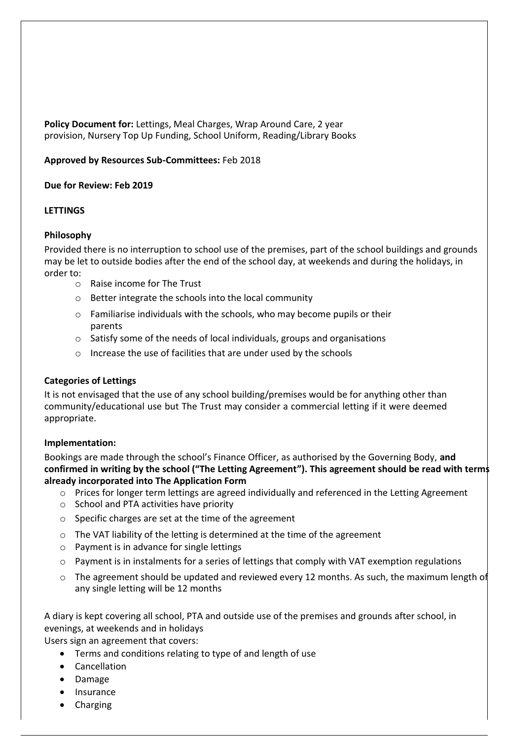**Policy Document for:** Lettings, Meal Charges, Wrap Around Care, 2 year provision, Nursery Top Up Funding, School Uniform, Reading/Library Books

#### **Approved by Resources Sub-Committees:** Feb 2018

#### **Due for Review: Feb 2019**

#### **LETTINGS**

#### **Philosophy**

Provided there is no interruption to school use of the premises, part of the school buildings and grounds may be let to outside bodies after the end of the school day, at weekends and during the holidays, in order to:

- o Raise income for The Trust
- o Better integrate the schools into the local community
- o Familiarise individuals with the schools, who may become pupils or their parents
- o Satisfy some of the needs of local individuals, groups and organisations
- o Increase the use of facilities that are under used by the schools

#### **Categories of Lettings**

It is not envisaged that the use of any school building/premises would be for anything other than community/educational use but The Trust may consider a commercial letting if it were deemed appropriate.

#### **Implementation:**

Bookings are made through the school's Finance Officer, as authorised by the Governing Body, **and confirmed in writing by the school ("The Letting Agreement"). This agreement should be read with terms already incorporated into The Application Form**

- o Prices for longer term lettings are agreed individually and referenced in the Letting Agreement
- o School and PTA activities have priority
- o Specific charges are set at the time of the agreement
- $\circ$  The VAT liability of the letting is determined at the time of the agreement
- o Payment is in advance for single lettings
- $\circ$  Payment is in instalments for a series of lettings that comply with VAT exemption regulations
- $\circ$  The agreement should be updated and reviewed every 12 months. As such, the maximum length of any single letting will be 12 months

A diary is kept covering all school, PTA and outside use of the premises and grounds after school, in evenings, at weekends and in holidays

Users sign an agreement that covers:

- Terms and conditions relating to type of and length of use
- Cancellation
- Damage
- Insurance
- Charging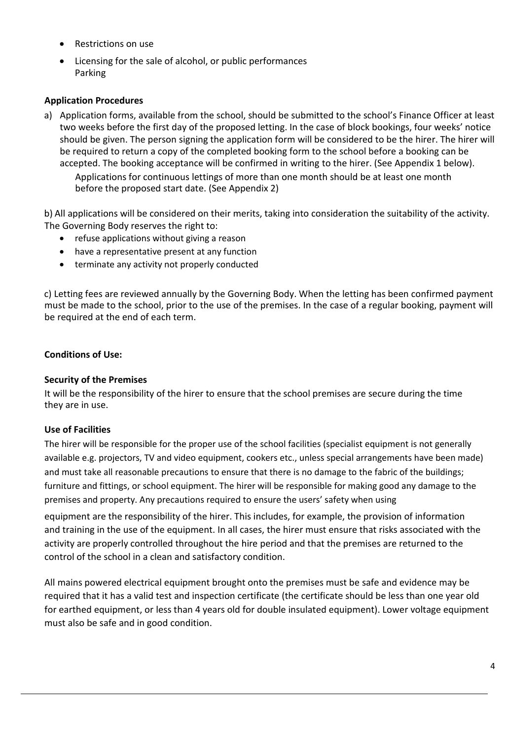- Restrictions on use
- Licensing for the sale of alcohol, or public performances Parking

## **Application Procedures**

a) Application forms, available from the school, should be submitted to the school's Finance Officer at least two weeks before the first day of the proposed letting. In the case of block bookings, four weeks' notice should be given. The person signing the application form will be considered to be the hirer. The hirer will be required to return a copy of the completed booking form to the school before a booking can be accepted. The booking acceptance will be confirmed in writing to the hirer. (See Appendix 1 below).

Applications for continuous lettings of more than one month should be at least one month before the proposed start date. (See Appendix 2)

b) All applications will be considered on their merits, taking into consideration the suitability of the activity. The Governing Body reserves the right to:

- refuse applications without giving a reason
- have a representative present at any function
- terminate any activity not properly conducted

c) Letting fees are reviewed annually by the Governing Body. When the letting has been confirmed payment must be made to the school, prior to the use of the premises. In the case of a regular booking, payment will be required at the end of each term.

#### **Conditions of Use:**

#### **Security of the Premises**

It will be the responsibility of the hirer to ensure that the school premises are secure during the time they are in use.

#### **Use of Facilities**

The hirer will be responsible for the proper use of the school facilities (specialist equipment is not generally available e.g. projectors, TV and video equipment, cookers etc., unless special arrangements have been made) and must take all reasonable precautions to ensure that there is no damage to the fabric of the buildings; furniture and fittings, or school equipment. The hirer will be responsible for making good any damage to the premises and property. Any precautions required to ensure the users' safety when using

equipment are the responsibility of the hirer. This includes, for example, the provision of information and training in the use of the equipment. In all cases, the hirer must ensure that risks associated with the activity are properly controlled throughout the hire period and that the premises are returned to the control of the school in a clean and satisfactory condition.

All mains powered electrical equipment brought onto the premises must be safe and evidence may be required that it has a valid test and inspection certificate (the certificate should be less than one year old for earthed equipment, or less than 4 years old for double insulated equipment). Lower voltage equipment must also be safe and in good condition.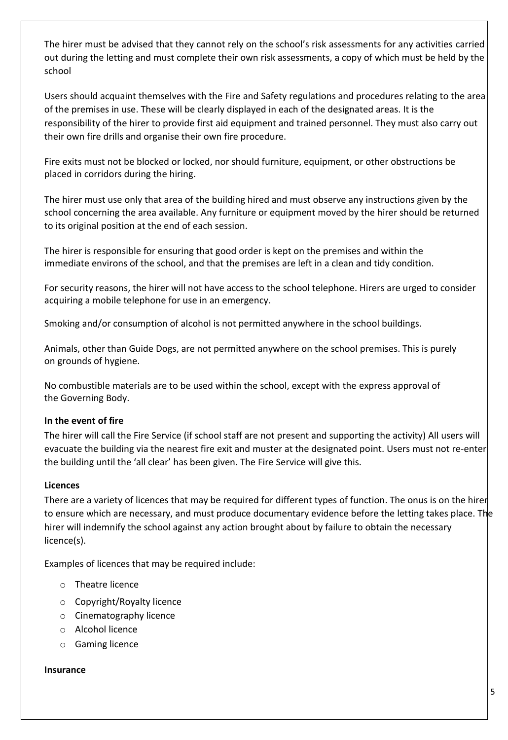The hirer must be advised that they cannot rely on the school's risk assessments for any activities carried out during the letting and must complete their own risk assessments, a copy of which must be held by the school

Users should acquaint themselves with the Fire and Safety regulations and procedures relating to the area of the premises in use. These will be clearly displayed in each of the designated areas. It is the responsibility of the hirer to provide first aid equipment and trained personnel. They must also carry out their own fire drills and organise their own fire procedure.

Fire exits must not be blocked or locked, nor should furniture, equipment, or other obstructions be placed in corridors during the hiring.

The hirer must use only that area of the building hired and must observe any instructions given by the school concerning the area available. Any furniture or equipment moved by the hirer should be returned to its original position at the end of each session.

The hirer is responsible for ensuring that good order is kept on the premises and within the immediate environs of the school, and that the premises are left in a clean and tidy condition.

For security reasons, the hirer will not have access to the school telephone. Hirers are urged to consider acquiring a mobile telephone for use in an emergency.

Smoking and/or consumption of alcohol is not permitted anywhere in the school buildings.

Animals, other than Guide Dogs, are not permitted anywhere on the school premises. This is purely on grounds of hygiene.

No combustible materials are to be used within the school, except with the express approval of the Governing Body.

# **In the event of fire**

The hirer will call the Fire Service (if school staff are not present and supporting the activity) All users will evacuate the building via the nearest fire exit and muster at the designated point. Users must not re-enter the building until the 'all clear' has been given. The Fire Service will give this.

#### **Licences**

There are a variety of licences that may be required for different types of function. The onus is on the hirer to ensure which are necessary, and must produce documentary evidence before the letting takes place. The hirer will indemnify the school against any action brought about by failure to obtain the necessary licence(s).

Examples of licences that may be required include:

- o Theatre licence
- o Copyright/Royalty licence
- o Cinematography licence
- o Alcohol licence
- o Gaming licence

#### **Insurance**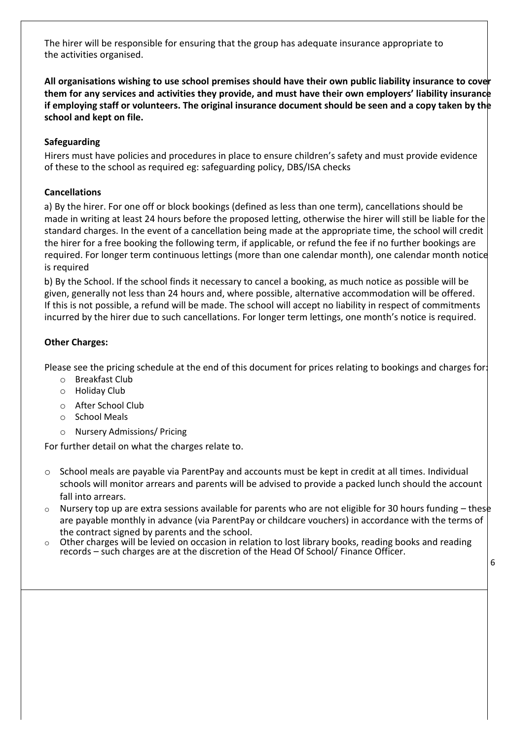The hirer will be responsible for ensuring that the group has adequate insurance appropriate to the activities organised.

**All organisations wishing to use school premises should have their own public liability insurance to cover them for any services and activities they provide, and must have their own employers' liability insurance if employing staff or volunteers. The original insurance document should be seen and a copy taken by the school and kept on file.**

## **Safeguarding**

Hirers must have policies and procedures in place to ensure children's safety and must provide evidence of these to the school as required eg: safeguarding policy, DBS/ISA checks

## **Cancellations**

a) By the hirer. For one off or block bookings (defined as less than one term), cancellations should be made in writing at least 24 hours before the proposed letting, otherwise the hirer will still be liable for the standard charges. In the event of a cancellation being made at the appropriate time, the school will credit the hirer for a free booking the following term, if applicable, or refund the fee if no further bookings are required. For longer term continuous lettings (more than one calendar month), one calendar month notice is required

b) By the School. If the school finds it necessary to cancel a booking, as much notice as possible will be given, generally not less than 24 hours and, where possible, alternative accommodation will be offered. If this is not possible, a refund will be made. The school will accept no liability in respect of commitments incurred by the hirer due to such cancellations. For longer term lettings, one month's notice is required.

# **Other Charges:**

Please see the pricing schedule at the end of this document for prices relating to bookings and charges for:

- o Breakfast Club
- o Holiday Club
- o After School Club
- o School Meals
- o Nursery Admissions/ Pricing

For further detail on what the charges relate to.

- o School meals are payable via ParentPay and accounts must be kept in credit at all times. Individual schools will monitor arrears and parents will be advised to provide a packed lunch should the account fall into arrears.
- $\circ$  Nursery top up are extra sessions available for parents who are not eligible for 30 hours funding these are payable monthly in advance (via ParentPay or childcare vouchers) in accordance with the terms of the contract signed by parents and the school.
- $\circ$  Other charges will be levied on occasion in relation to lost library books, reading books and reading records – such charges are at the discretion of the Head Of School/ Finance Officer.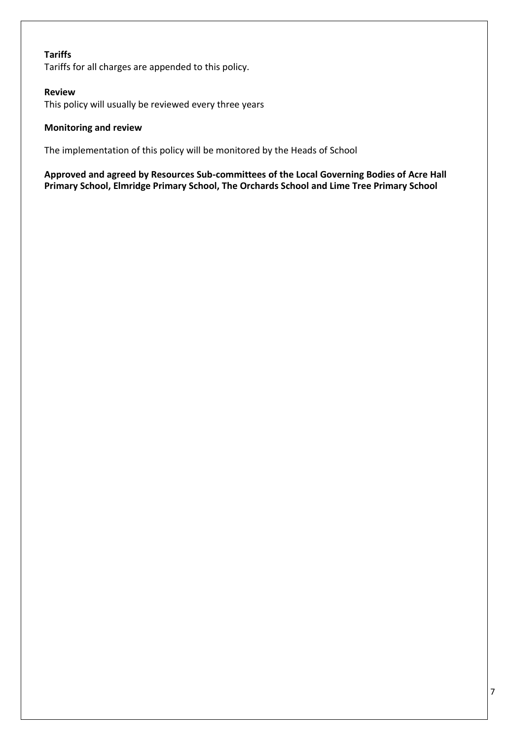### **Tariffs**

Tariffs for all charges are appended to this policy.

#### **Review**

This policy will usually be reviewed every three years

#### **Monitoring and review**

The implementation of this policy will be monitored by the Heads of School

**Approved and agreed by Resources Sub-committees of the Local Governing Bodies of Acre Hall Primary School, Elmridge Primary School, The Orchards School and Lime Tree Primary School**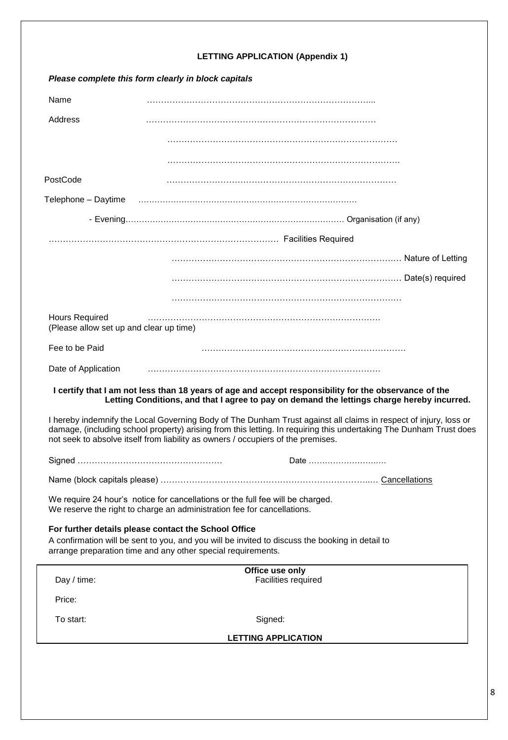| Please complete this form clearly in block capitals                                                                                                                                                 |                                                                                                                                                                                                                                                                                                                            |  |  |  |
|-----------------------------------------------------------------------------------------------------------------------------------------------------------------------------------------------------|----------------------------------------------------------------------------------------------------------------------------------------------------------------------------------------------------------------------------------------------------------------------------------------------------------------------------|--|--|--|
| Name                                                                                                                                                                                                |                                                                                                                                                                                                                                                                                                                            |  |  |  |
| Address                                                                                                                                                                                             |                                                                                                                                                                                                                                                                                                                            |  |  |  |
|                                                                                                                                                                                                     |                                                                                                                                                                                                                                                                                                                            |  |  |  |
|                                                                                                                                                                                                     |                                                                                                                                                                                                                                                                                                                            |  |  |  |
| PostCode                                                                                                                                                                                            |                                                                                                                                                                                                                                                                                                                            |  |  |  |
| Telephone - Daytime                                                                                                                                                                                 |                                                                                                                                                                                                                                                                                                                            |  |  |  |
|                                                                                                                                                                                                     |                                                                                                                                                                                                                                                                                                                            |  |  |  |
|                                                                                                                                                                                                     |                                                                                                                                                                                                                                                                                                                            |  |  |  |
|                                                                                                                                                                                                     |                                                                                                                                                                                                                                                                                                                            |  |  |  |
|                                                                                                                                                                                                     |                                                                                                                                                                                                                                                                                                                            |  |  |  |
|                                                                                                                                                                                                     |                                                                                                                                                                                                                                                                                                                            |  |  |  |
| <b>Hours Required</b><br>(Please allow set up and clear up time)                                                                                                                                    |                                                                                                                                                                                                                                                                                                                            |  |  |  |
| Fee to be Paid                                                                                                                                                                                      |                                                                                                                                                                                                                                                                                                                            |  |  |  |
| Date of Application                                                                                                                                                                                 |                                                                                                                                                                                                                                                                                                                            |  |  |  |
| I certify that I am not less than 18 years of age and accept responsibility for the observance of the<br>Letting Conditions, and that I agree to pay on demand the lettings charge hereby incurred. |                                                                                                                                                                                                                                                                                                                            |  |  |  |
|                                                                                                                                                                                                     | I hereby indemnify the Local Governing Body of The Dunham Trust against all claims in respect of injury, loss or<br>damage, (including school property) arising from this letting. In requiring this undertaking The Dunham Trust does<br>not seek to absolve itself from liability as owners / occupiers of the premises. |  |  |  |
|                                                                                                                                                                                                     | Date                                                                                                                                                                                                                                                                                                                       |  |  |  |
|                                                                                                                                                                                                     |                                                                                                                                                                                                                                                                                                                            |  |  |  |
| We require 24 hour's notice for cancellations or the full fee will be charged.<br>We reserve the right to charge an administration fee for cancellations.                                           |                                                                                                                                                                                                                                                                                                                            |  |  |  |
| For further details please contact the School Office                                                                                                                                                | A confirmation will be sent to you, and you will be invited to discuss the booking in detail to<br>arrange preparation time and any other special requirements.                                                                                                                                                            |  |  |  |
|                                                                                                                                                                                                     | Office use only                                                                                                                                                                                                                                                                                                            |  |  |  |
| Day / time:                                                                                                                                                                                         | Facilities required                                                                                                                                                                                                                                                                                                        |  |  |  |
| Price:                                                                                                                                                                                              |                                                                                                                                                                                                                                                                                                                            |  |  |  |
| To start:                                                                                                                                                                                           | Signed:                                                                                                                                                                                                                                                                                                                    |  |  |  |
| <b>LETTING APPLICATION</b>                                                                                                                                                                          |                                                                                                                                                                                                                                                                                                                            |  |  |  |
|                                                                                                                                                                                                     |                                                                                                                                                                                                                                                                                                                            |  |  |  |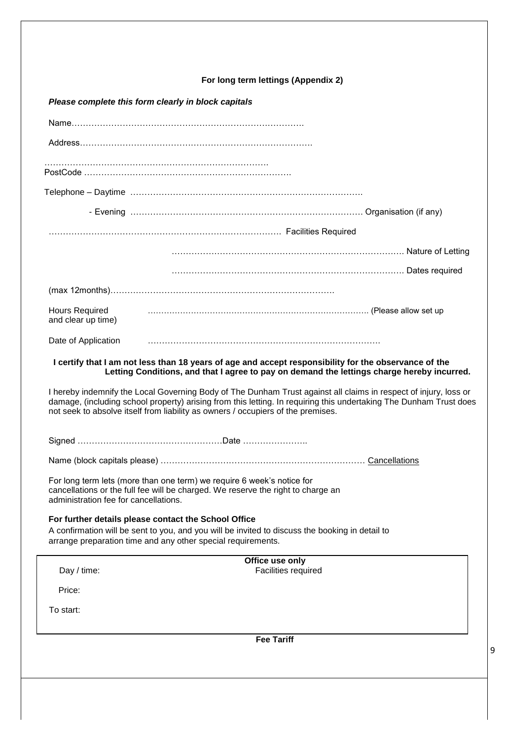# **For long term lettings (Appendix 2)**

# *Please complete this form clearly in block capitals*

| <b>Hours Required</b><br>and clear up time)                                                                                                                                                         |                                                                                                                                                                                                                                                                                                                            |  |  |  |
|-----------------------------------------------------------------------------------------------------------------------------------------------------------------------------------------------------|----------------------------------------------------------------------------------------------------------------------------------------------------------------------------------------------------------------------------------------------------------------------------------------------------------------------------|--|--|--|
| Date of Application                                                                                                                                                                                 |                                                                                                                                                                                                                                                                                                                            |  |  |  |
| I certify that I am not less than 18 years of age and accept responsibility for the observance of the<br>Letting Conditions, and that I agree to pay on demand the lettings charge hereby incurred. |                                                                                                                                                                                                                                                                                                                            |  |  |  |
|                                                                                                                                                                                                     | I hereby indemnify the Local Governing Body of The Dunham Trust against all claims in respect of injury, loss or<br>damage, (including school property) arising from this letting. In requiring this undertaking The Dunham Trust does<br>not seek to absolve itself from liability as owners / occupiers of the premises. |  |  |  |
|                                                                                                                                                                                                     |                                                                                                                                                                                                                                                                                                                            |  |  |  |
|                                                                                                                                                                                                     |                                                                                                                                                                                                                                                                                                                            |  |  |  |
| For long term lets (more than one term) we require 6 week's notice for<br>cancellations or the full fee will be charged. We reserve the right to charge an<br>administration fee for cancellations. |                                                                                                                                                                                                                                                                                                                            |  |  |  |
|                                                                                                                                                                                                     | For further details please contact the School Office<br>A confirmation will be sent to you, and you will be invited to discuss the booking in detail to<br>arrange preparation time and any other special requirements.                                                                                                    |  |  |  |
|                                                                                                                                                                                                     | Office use only                                                                                                                                                                                                                                                                                                            |  |  |  |
| Day / time:                                                                                                                                                                                         | Facilities required                                                                                                                                                                                                                                                                                                        |  |  |  |
| Price:                                                                                                                                                                                              |                                                                                                                                                                                                                                                                                                                            |  |  |  |
| To start:                                                                                                                                                                                           |                                                                                                                                                                                                                                                                                                                            |  |  |  |
| <b>Fee Tariff</b>                                                                                                                                                                                   |                                                                                                                                                                                                                                                                                                                            |  |  |  |
|                                                                                                                                                                                                     |                                                                                                                                                                                                                                                                                                                            |  |  |  |